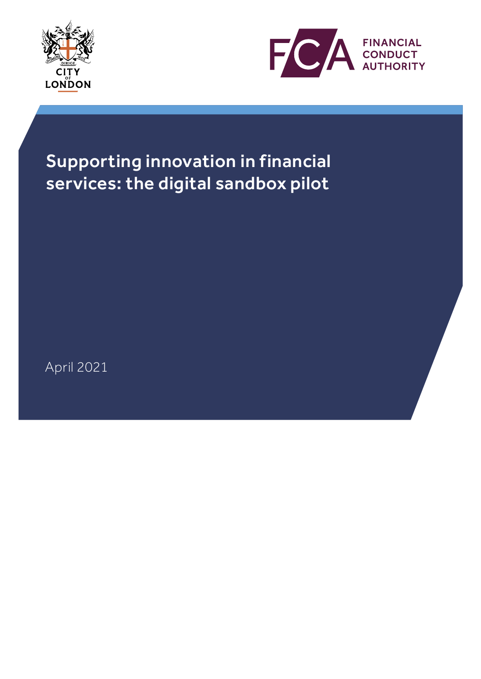



# Supporting innovation in financial services: the digital sandbox pilot

April 2021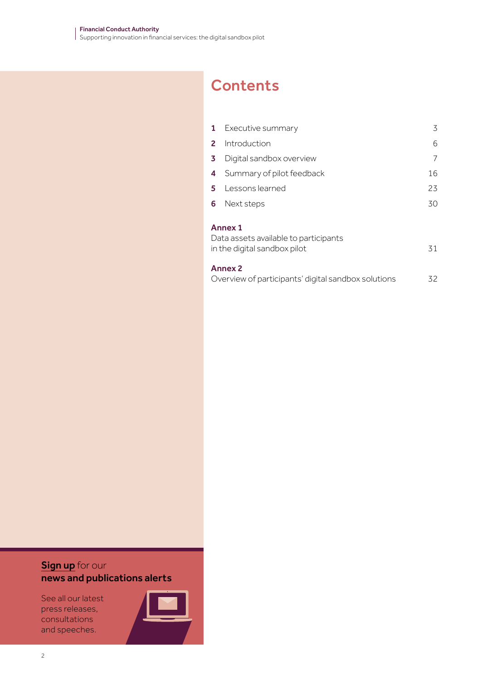## **Contents**

| $\mathbf{1}$                                                                           | Executive summary         | 3  |
|----------------------------------------------------------------------------------------|---------------------------|----|
| 2                                                                                      | Introduction              | 6  |
| 3.                                                                                     | Digital sandbox overview  | 7  |
| 4                                                                                      | Summary of pilot feedback | 16 |
| 5.                                                                                     | Lessons learned           | 23 |
| 6.                                                                                     | Next steps                | 30 |
| Annex 1<br>Data assets available to participants<br>in the digital sandbox pilot<br>31 |                           |    |
| <b>Annex 2</b><br>Overview of participants' digital sandbox solutions<br>32            |                           |    |

## **Sign up** for our news and publications alerts

See all our latest press releases, consultations and speeches.

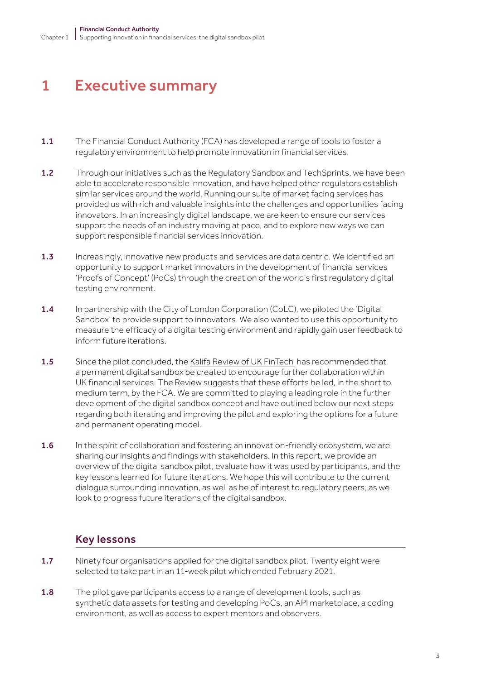## 1 Executive summary

- **1.1** The Financial Conduct Authority (FCA) has developed a range of tools to foster a regulatory environment to help promote innovation in financial services.
- 1.2 Through our initiatives such as the Regulatory Sandbox and TechSprints, we have been able to accelerate responsible innovation, and have helped other regulators establish similar services around the world. Running our suite of market facing services has provided us with rich and valuable insights into the challenges and opportunities facing innovators. In an increasingly digital landscape, we are keen to ensure our services support the needs of an industry moving at pace, and to explore new ways we can support responsible financial services innovation.
- 1.3 Increasingly, innovative new products and services are data centric. We identified an opportunity to support market innovators in the development of financial services 'Proofs of Concept' (PoCs) through the creation of the world's first regulatory digital testing environment.
- 1.4 In partnership with the City of London Corporation (CoLC), we piloted the 'Digital Sandbox' to provide support to innovators. We also wanted to use this opportunity to measure the efficacy of a digital testing environment and rapidly gain user feedback to inform future iterations.
- 1.5 Since the pilot concluded, the Kalifa Review of UK FinTech has recommended that a permanent digital sandbox be created to encourage further collaboration within UK financial services. The Review suggests that these efforts be led, in the short to medium term, by the FCA. We are committed to playing a leading role in the further development of the digital sandbox concept and have outlined below our next steps regarding both iterating and improving the pilot and exploring the options for a future and permanent operating model.
- **1.6** In the spirit of collaboration and fostering an innovation-friendly ecosystem, we are sharing our insights and findings with stakeholders. In this report, we provide an overview of the digital sandbox pilot, evaluate how it was used by participants, and the key lessons learned for future iterations. We hope this will contribute to the current dialogue surrounding innovation, as well as be of interest to regulatory peers, as we look to progress future iterations of the digital sandbox.

## Key lessons

- 1.7 Ninety four organisations applied for the digital sandbox pilot. Twenty eight were selected to take part in an 11-week pilot which ended February 2021.
- 1.8 The pilot gave participants access to a range of development tools, such as synthetic data assets for testing and developing PoCs, an API marketplace, a coding environment, as well as access to expert mentors and observers.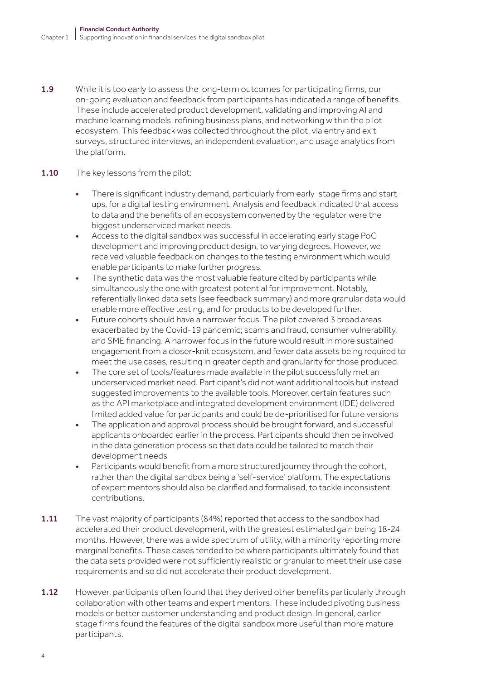1.9 While it is too early to assess the long-term outcomes for participating firms, our on-going evaluation and feedback from participants has indicated a range of benefits. These include accelerated product development, validating and improving AI and machine learning models, refining business plans, and networking within the pilot ecosystem. This feedback was collected throughout the pilot, via entry and exit surveys, structured interviews, an independent evaluation, and usage analytics from the platform.

#### 1.10 The key lessons from the pilot:

- There is significant industry demand, particularly from early-stage firms and startups, for a digital testing environment. Analysis and feedback indicated that access to data and the benefits of an ecosystem convened by the regulator were the biggest underserviced market needs.
- Access to the digital sandbox was successful in accelerating early stage PoC development and improving product design, to varying degrees. However, we received valuable feedback on changes to the testing environment which would enable participants to make further progress.
- The synthetic data was the most valuable feature cited by participants while simultaneously the one with greatest potential for improvement. Notably, referentially linked data sets (see feedback summary) and more granular data would enable more effective testing, and for products to be developed further.
- Future cohorts should have a narrower focus. The pilot covered 3 broad areas exacerbated by the Covid-19 pandemic; scams and fraud, consumer vulnerability, and SME financing. A narrower focus in the future would result in more sustained engagement from a closer-knit ecosystem, and fewer data assets being required to meet the use cases, resulting in greater depth and granularity for those produced.
- The core set of tools/features made available in the pilot successfully met an underserviced market need. Participant's did not want additional tools but instead suggested improvements to the available tools. Moreover, certain features such as the API marketplace and integrated development environment (IDE) delivered limited added value for participants and could be de-prioritised for future versions
- The application and approval process should be brought forward, and successful applicants onboarded earlier in the process. Participants should then be involved in the data generation process so that data could be tailored to match their development needs
- Participants would benefit from a more structured journey through the cohort, rather than the digital sandbox being a 'self-service' platform. The expectations of expert mentors should also be clarified and formalised, to tackle inconsistent contributions.
- 1.11 The vast majority of participants (84%) reported that access to the sandbox had accelerated their product development, with the greatest estimated gain being 18-24 months. However, there was a wide spectrum of utility, with a minority reporting more marginal benefits. These cases tended to be where participants ultimately found that the data sets provided were not sufficiently realistic or granular to meet their use case requirements and so did not accelerate their product development.
- 1.12 However, participants often found that they derived other benefits particularly through collaboration with other teams and expert mentors. These included pivoting business models or better customer understanding and product design. In general, earlier stage firms found the features of the digital sandbox more useful than more mature participants.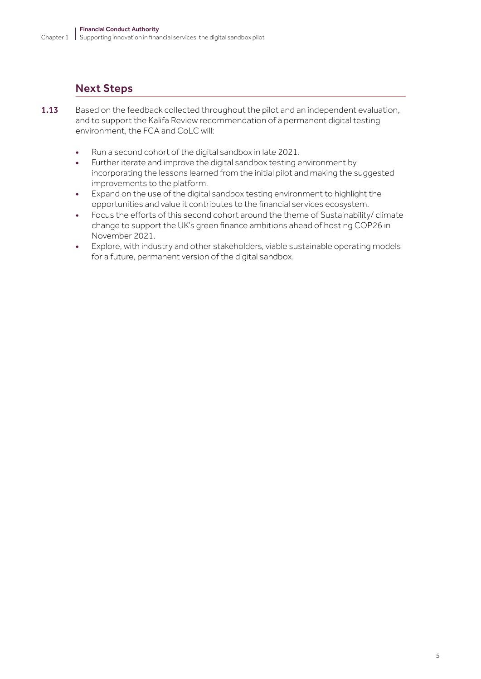## Next Steps

- 1.13 Based on the feedback collected throughout the pilot and an independent evaluation, and to support the Kalifa Review recommendation of a permanent digital testing environment, the FCA and CoLC will:
	- Run a second cohort of the digital sandbox in late 2021.
	- Further iterate and improve the digital sandbox testing environment by incorporating the lessons learned from the initial pilot and making the suggested improvements to the platform.
	- Expand on the use of the digital sandbox testing environment to highlight the opportunities and value it contributes to the financial services ecosystem.
	- Focus the efforts of this second cohort around the theme of Sustainability/ climate change to support the UK's green finance ambitions ahead of hosting COP26 in November 2021.
	- Explore, with industry and other stakeholders, viable sustainable operating models for a future, permanent version of the digital sandbox.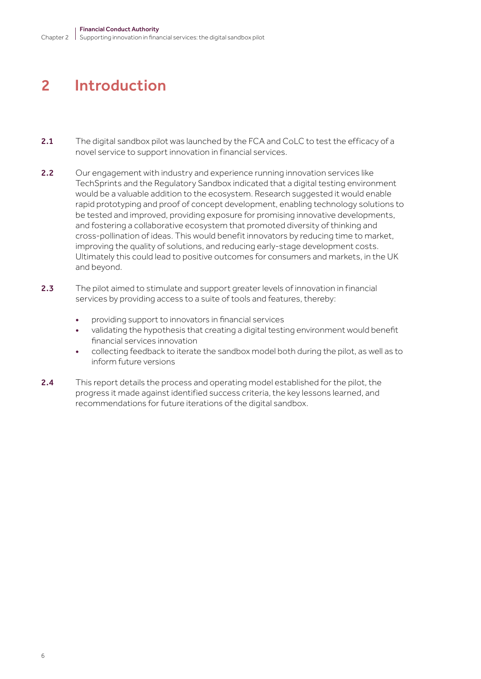## 2 Introduction

- 2.1 The digital sandbox pilot was launched by the FCA and CoLC to test the efficacy of a novel service to support innovation in financial services.
- 2.2 Our engagement with industry and experience running innovation services like TechSprints and the Regulatory Sandbox indicated that a digital testing environment would be a valuable addition to the ecosystem. Research suggested it would enable rapid prototyping and proof of concept development, enabling technology solutions to be tested and improved, providing exposure for promising innovative developments, and fostering a collaborative ecosystem that promoted diversity of thinking and cross-pollination of ideas. This would benefit innovators by reducing time to market, improving the quality of solutions, and reducing early-stage development costs. Ultimately this could lead to positive outcomes for consumers and markets, in the UK and beyond.
- 2.3 The pilot aimed to stimulate and support greater levels of innovation in financial services by providing access to a suite of tools and features, thereby:
	- providing support to innovators in financial services
	- validating the hypothesis that creating a digital testing environment would benefit financial services innovation
	- collecting feedback to iterate the sandbox model both during the pilot, as well as to inform future versions
- 2.4 This report details the process and operating model established for the pilot, the progress it made against identified success criteria, the key lessons learned, and recommendations for future iterations of the digital sandbox.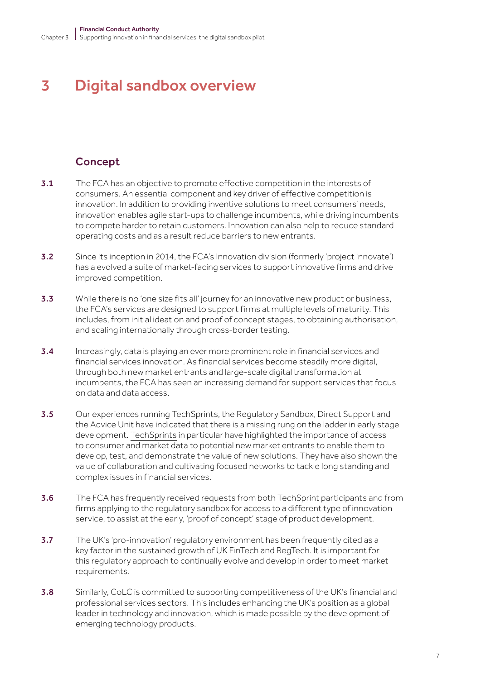# 3 Digital sandbox overview

## Concept

- 3.1 The FCA has an objective to promote effective competition in the interests of consumers. An essential component and key driver of effective competition is innovation. In addition to providing inventive solutions to meet consumers' needs, innovation enables agile start-ups to challenge incumbents, while driving incumbents to compete harder to retain customers. Innovation can also help to reduce standard operating costs and as a result reduce barriers to new entrants.
- 3.2 Since its inception in 2014, the FCA's Innovation division (formerly 'project innovate') has a evolved a suite of market-facing services to support innovative firms and drive improved competition.
- 3.3 While there is no 'one size fits all' journey for an innovative new product or business, the FCA's services are designed to support firms at multiple levels of maturity. This includes, from initial ideation and proof of concept stages, to obtaining authorisation, and scaling internationally through cross-border testing.
- 3.4 Increasingly, data is playing an ever more prominent role in financial services and financial services innovation. As financial services become steadily more digital, through both new market entrants and large-scale digital transformation at incumbents, the FCA has seen an increasing demand for support services that focus on data and data access.
- **3.5** Our experiences running TechSprints, the Regulatory Sandbox, Direct Support and the Advice Unit have indicated that there is a missing rung on the ladder in early stage development. TechSprints in particular have highlighted the importance of access to consumer and market data to potential new market entrants to enable them to develop, test, and demonstrate the value of new solutions. They have also shown the value of collaboration and cultivating focused networks to tackle long standing and complex issues in financial services.
- 3.6 The FCA has frequently received requests from both TechSprint participants and from firms applying to the regulatory sandbox for access to a different type of innovation service, to assist at the early, 'proof of concept' stage of product development.
- **3.7** The UK's 'pro-innovation' regulatory environment has been frequently cited as a key factor in the sustained growth of UK FinTech and RegTech. It is important for this regulatory approach to continually evolve and develop in order to meet market requirements.
- 3.8 Similarly, CoLC is committed to supporting competitiveness of the UK's financial and professional services sectors. This includes enhancing the UK's position as a global leader in technology and innovation, which is made possible by the development of emerging technology products.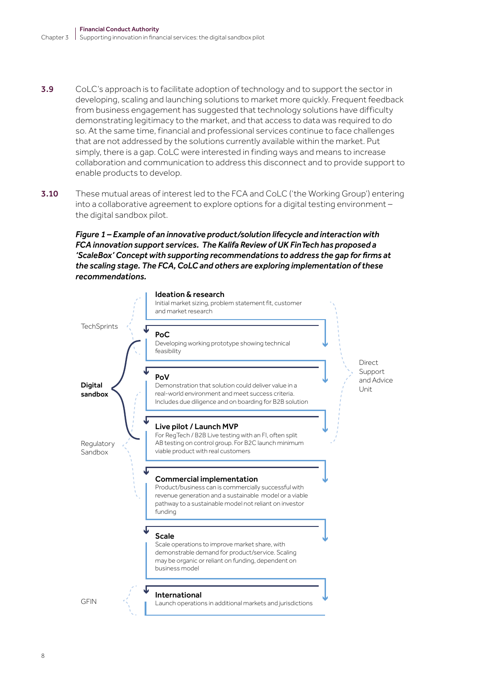- 3.9 CoLC's approach is to facilitate adoption of technology and to support the sector in developing, scaling and launching solutions to market more quickly. Frequent feedback from business engagement has suggested that technology solutions have difficulty demonstrating legitimacy to the market, and that access to data was required to do so. At the same time, financial and professional services continue to face challenges that are not addressed by the solutions currently available within the market. Put simply, there is a gap. CoLC were interested in finding ways and means to increase collaboration and communication to address this disconnect and to provide support to enable products to develop.
- **3.10** These mutual areas of interest led to the FCA and CoLC ('the Working Group') entering into a collaborative agreement to explore options for a digital testing environment – the digital sandbox pilot.

*Figure 1 – Example of an innovative product/solution lifecycle and interaction with FCA innovation support services. The Kalifa Review of UK FinTech has proposed a 'ScaleBox' Concept with supporting recommendations to address the gap for firms at the scaling stage. The FCA, CoLC and others are exploring implementation of these recommendations.*

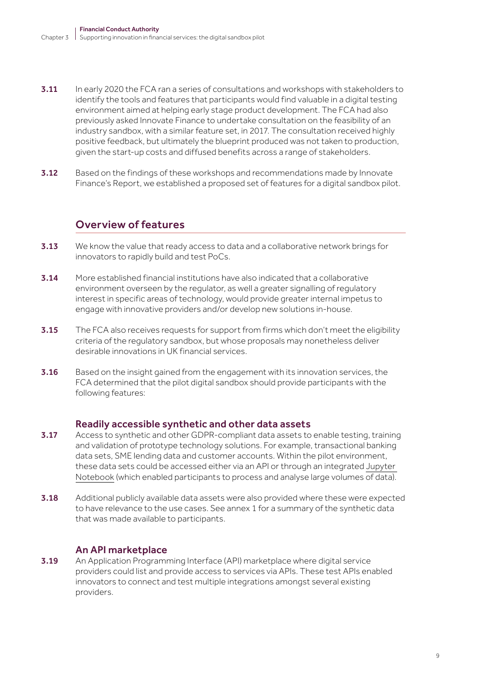- 3.11 In early 2020 the FCA ran a series of consultations and workshops with stakeholders to identify the tools and features that participants would find valuable in a digital testing environment aimed at helping early stage product development. The FCA had also previously asked Innovate Finance to undertake consultation on the feasibility of an industry sandbox, with a similar feature set, in 2017. The consultation received highly positive feedback, but ultimately the blueprint produced was not taken to production, given the start-up costs and diffused benefits across a range of stakeholders.
- 3.12 Based on the findings of these workshops and recommendations made by Innovate Finance's Report, we established a proposed set of features for a digital sandbox pilot.

### Overview of features

- **3.13** We know the value that ready access to data and a collaborative network brings for innovators to rapidly build and test PoCs.
- 3.14 More established financial institutions have also indicated that a collaborative environment overseen by the regulator, as well a greater signalling of regulatory interest in specific areas of technology, would provide greater internal impetus to engage with innovative providers and/or develop new solutions in-house.
- 3.15 The FCA also receives requests for support from firms which don't meet the eligibility criteria of the regulatory sandbox, but whose proposals may nonetheless deliver desirable innovations in UK financial services.
- 3.16 Based on the insight gained from the engagement with its innovation services, the FCA determined that the pilot digital sandbox should provide participants with the following features:

#### Readily accessible synthetic and other data assets

- 3.17 Access to synthetic and other GDPR-compliant data assets to enable testing, training and validation of prototype technology solutions. For example, transactional banking data sets, SME lending data and customer accounts. Within the pilot environment, these data sets could be accessed either via an API or through an integrated Jupyter Notebook (which enabled participants to process and analyse large volumes of data).
- 3.18 Additional publicly available data assets were also provided where these were expected to have relevance to the use cases. See annex 1 for a summary of the synthetic data that was made available to participants.

#### An API marketplace

3.19 An Application Programming Interface (API) marketplace where digital service providers could list and provide access to services via APIs. These test APIs enabled innovators to connect and test multiple integrations amongst several existing providers.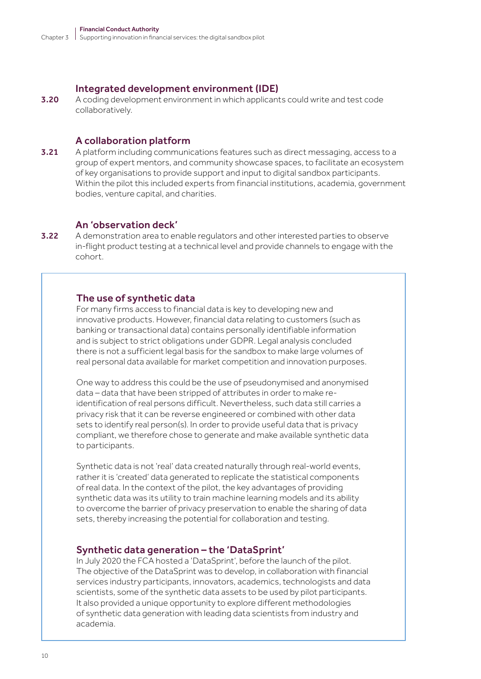#### Integrated development environment (IDE)

3.20 A coding development environment in which applicants could write and test code collaboratively.

#### A collaboration platform

**3.21** A platform including communications features such as direct messaging, access to a group of expert mentors, and community showcase spaces, to facilitate an ecosystem of key organisations to provide support and input to digital sandbox participants. Within the pilot this included experts from financial institutions, academia, government bodies, venture capital, and charities.

#### An 'observation deck'

3.22 A demonstration area to enable regulators and other interested parties to observe in-flight product testing at a technical level and provide channels to engage with the cohort.

#### The use of synthetic data

For many firms access to financial data is key to developing new and innovative products. However, financial data relating to customers (such as banking or transactional data) contains personally identifiable information and is subject to strict obligations under GDPR. Legal analysis concluded there is not a sufficient legal basis for the sandbox to make large volumes of real personal data available for market competition and innovation purposes.

One way to address this could be the use of pseudonymised and anonymised data – data that have been stripped of attributes in order to make reidentification of real persons difficult. Nevertheless, such data still carries a privacy risk that it can be reverse engineered or combined with other data sets to identify real person(s). In order to provide useful data that is privacy compliant, we therefore chose to generate and make available synthetic data to participants.

Synthetic data is not 'real' data created naturally through real-world events, rather it is 'created' data generated to replicate the statistical components of real data. In the context of the pilot, the key advantages of providing synthetic data was its utility to train machine learning models and its ability to overcome the barrier of privacy preservation to enable the sharing of data sets, thereby increasing the potential for collaboration and testing.

#### Synthetic data generation – the 'DataSprint'

In July 2020 the FCA hosted a 'DataSprint', before the launch of the pilot. The objective of the DataSprint was to develop, in collaboration with financial services industry participants, innovators, academics, technologists and data scientists, some of the synthetic data assets to be used by pilot participants. It also provided a unique opportunity to explore different methodologies of synthetic data generation with leading data scientists from industry and academia.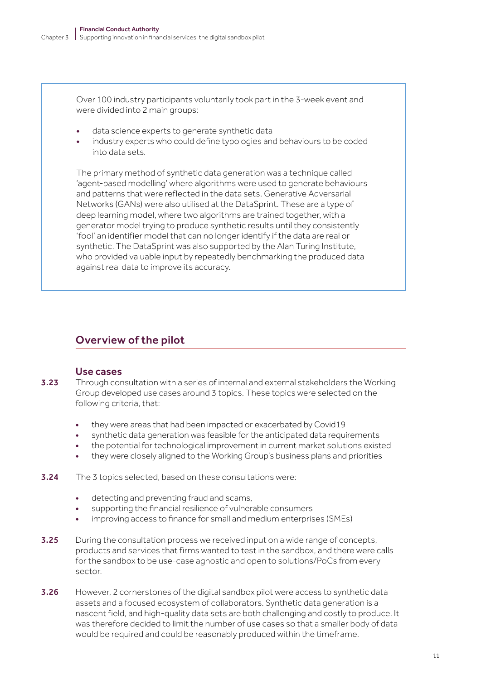Over 100 industry participants voluntarily took part in the 3-week event and were divided into 2 main groups:

- data science experts to generate synthetic data
- industry experts who could define typologies and behaviours to be coded into data sets.

The primary method of synthetic data generation was a technique called 'agent-based modelling' where algorithms were used to generate behaviours and patterns that were reflected in the data sets. Generative Adversarial Networks (GANs) were also utilised at the DataSprint. These are a type of deep learning model, where two algorithms are trained together, with a generator model trying to produce synthetic results until they consistently 'fool' an identifier model that can no longer identify if the data are real or synthetic. The DataSprint was also supported by the Alan Turing Institute, who provided valuable input by repeatedly benchmarking the produced data against real data to improve its accuracy.

## Overview of the pilot

#### Use cases

- **3.23** Through consultation with a series of internal and external stakeholders the Working Group developed use cases around 3 topics. These topics were selected on the following criteria, that:
	- they were areas that had been impacted or exacerbated by Covid19
	- synthetic data generation was feasible for the anticipated data requirements
	- the potential for technological improvement in current market solutions existed
	- they were closely aligned to the Working Group's business plans and priorities
- **3.24** The 3 topics selected, based on these consultations were:
	- detecting and preventing fraud and scams,
	- supporting the financial resilience of vulnerable consumers
	- improving access to finance for small and medium enterprises (SMEs)
- **3.25** During the consultation process we received input on a wide range of concepts, products and services that firms wanted to test in the sandbox, and there were calls for the sandbox to be use-case agnostic and open to solutions/PoCs from every sector.
- **3.26** However, 2 cornerstones of the digital sandbox pilot were access to synthetic data assets and a focused ecosystem of collaborators. Synthetic data generation is a nascent field, and high-quality data sets are both challenging and costly to produce. It was therefore decided to limit the number of use cases so that a smaller body of data would be required and could be reasonably produced within the timeframe.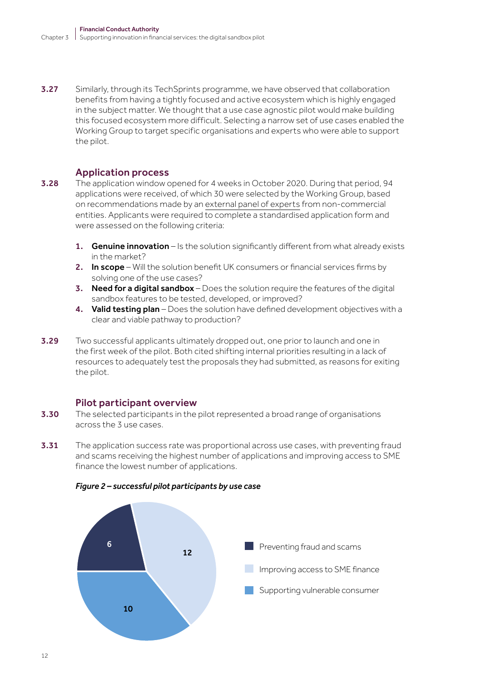**3.27** Similarly, through its TechSprints programme, we have observed that collaboration benefits from having a tightly focused and active ecosystem which is highly engaged in the subject matter. We thought that a use case agnostic pilot would make building this focused ecosystem more difficult. Selecting a narrow set of use cases enabled the Working Group to target specific organisations and experts who were able to support the pilot.

#### Application process

- 3.28 The application window opened for 4 weeks in October 2020. During that period, 94 applications were received, of which 30 were selected by the Working Group, based on recommendations made by an external panel of experts from non-commercial entities. Applicants were required to complete a standardised application form and were assessed on the following criteria:
	- 1. Genuine innovation Is the solution significantly different from what already exists in the market?
	- 2. In scope Will the solution benefit UK consumers or financial services firms by solving one of the use cases?
	- 3. Need for a digital sandbox Does the solution require the features of the digital sandbox features to be tested, developed, or improved?
	- 4. Valid testing plan Does the solution have defined development objectives with a clear and viable pathway to production?
- 3.29 Two successful applicants ultimately dropped out, one prior to launch and one in the first week of the pilot. Both cited shifting internal priorities resulting in a lack of resources to adequately test the proposals they had submitted, as reasons for exiting the pilot.

#### Pilot participant overview

- **3.30** The selected participants in the pilot represented a broad range of organisations across the 3 use cases.
- **3.31** The application success rate was proportional across use cases, with preventing fraud and scams receiving the highest number of applications and improving access to SME finance the lowest number of applications.



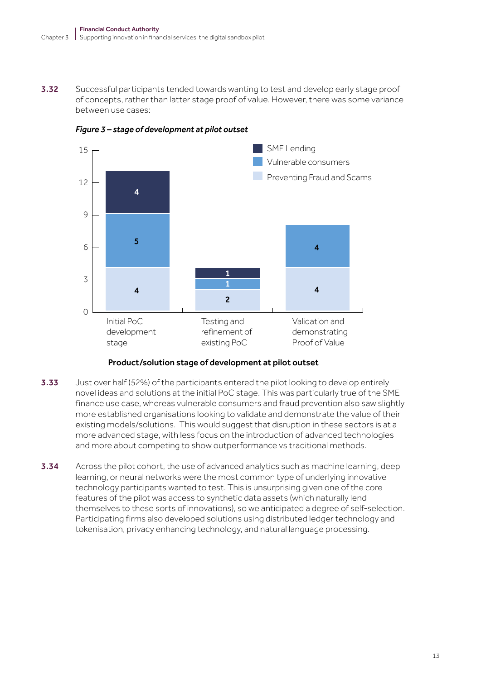**3.32** Successful participants tended towards wanting to test and develop early stage proof of concepts, rather than latter stage proof of value. However, there was some variance between use cases:



*Figure 3 – stage of development at pilot outset* 

#### Product/solution stage of development at pilot outset

- **3.33** Just over half (52%) of the participants entered the pilot looking to develop entirely novel ideas and solutions at the initial PoC stage. This was particularly true of the SME finance use case, whereas vulnerable consumers and fraud prevention also saw slightly more established organisations looking to validate and demonstrate the value of their existing models/solutions. This would suggest that disruption in these sectors is at a more advanced stage, with less focus on the introduction of advanced technologies and more about competing to show outperformance vs traditional methods.
- **3.34** Across the pilot cohort, the use of advanced analytics such as machine learning, deep learning, or neural networks were the most common type of underlying innovative technology participants wanted to test. This is unsurprising given one of the core features of the pilot was access to synthetic data assets (which naturally lend themselves to these sorts of innovations), so we anticipated a degree of self-selection. Participating firms also developed solutions using distributed ledger technology and tokenisation, privacy enhancing technology, and natural language processing.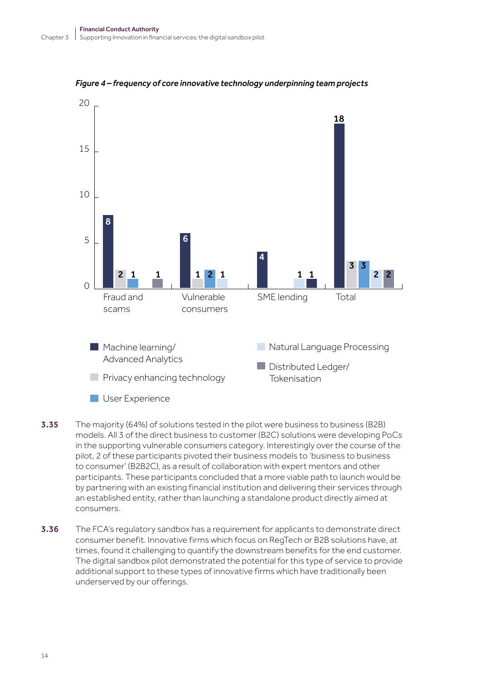

*Figure 4 – frequency of core innovative technology underpinning team projects*

- 3.35 The majority (64%) of solutions tested in the pilot were business to business (B2B) models. All 3 of the direct business to customer (B2C) solutions were developing PoCs in the supporting vulnerable consumers category. Interestingly over the course of the pilot, 2 of these participants pivoted their business models to 'business to business to consumer' (B2B2C), as a result of collaboration with expert mentors and other participants. These participants concluded that a more viable path to launch would be by partnering with an existing financial institution and delivering their services through an established entity, rather than launching a standalone product directly aimed at consumers.
- **3.36** The FCA's regulatory sandbox has a requirement for applicants to demonstrate direct consumer benefit. Innovative firms which focus on RegTech or B2B solutions have, at times, found it challenging to quantify the downstream benefits for the end customer. The digital sandbox pilot demonstrated the potential for this type of service to provide additional support to these types of innovative firms which have traditionally been underserved by our offerings.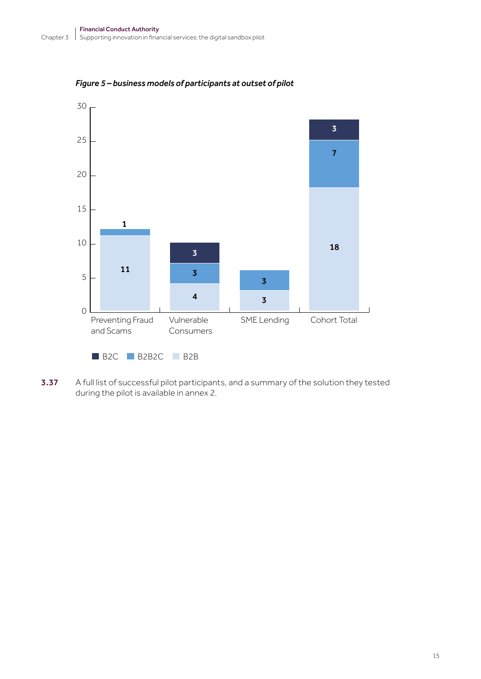

*Figure 5 – business models of participants at outset of pilot* 

3.37 A full list of successful pilot participants, and a summary of the solution they tested during the pilot is available in annex 2.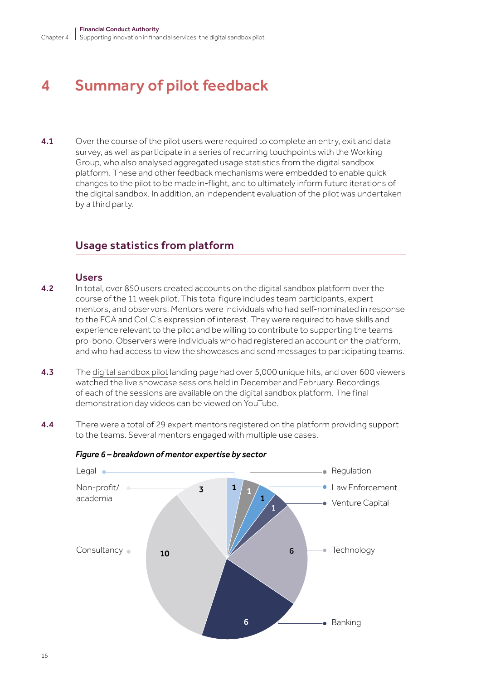## 4 Summary of pilot feedback

**4.1** Over the course of the pilot users were required to complete an entry, exit and data survey, as well as participate in a series of recurring touchpoints with the Working Group, who also analysed aggregated usage statistics from the digital sandbox platform. These and other feedback mechanisms were embedded to enable quick changes to the pilot to be made in-flight, and to ultimately inform future iterations of the digital sandbox. In addition, an independent evaluation of the pilot was undertaken by a third party.

### Usage statistics from platform

#### Users

- 4.2 In total, over 850 users created accounts on the digital sandbox platform over the course of the 11 week pilot. This total figure includes team participants, expert mentors, and observors. Mentors were individuals who had self-nominated in response to the FCA and CoLC's expression of interest. They were required to have skills and experience relevant to the pilot and be willing to contribute to supporting the teams pro-bono. Observers were individuals who had registered an account on the platform, and who had access to view the showcases and send messages to participating teams.
- 4.3 The digital sandbox pilot landing page had over 5,000 unique hits, and over 600 viewers watched the live showcase sessions held in December and February. Recordings of each of the sessions are available on the digital sandbox platform. The final demonstration day videos can be viewed on YouTube.
- 4.4 There were a total of 29 expert mentors registered on the platform providing support to the teams. Several mentors engaged with multiple use cases.



#### *Figure 6 – breakdown of mentor expertise by sector*  12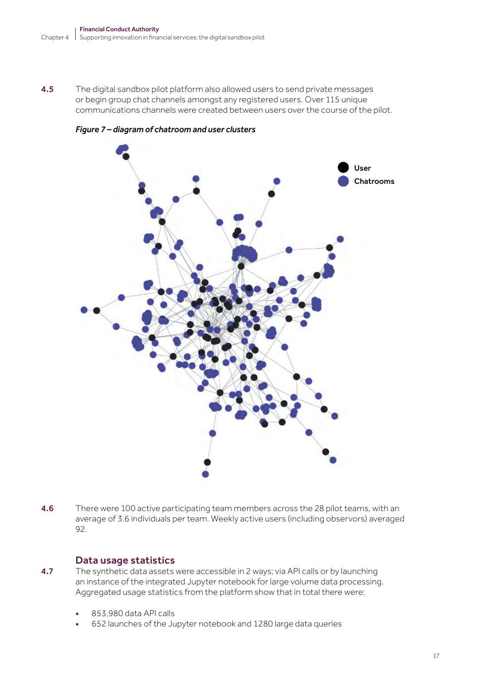4.5 The digital sandbox pilot platform also allowed users to send private messages or begin group chat channels amongst any registered users. Over 115 unique communications channels were created between users over the course of the pilot.

*Figure 7 – diagram of chatroom and user clusters* 



4.6 There were 100 active participating team members across the 28 pilot teams, with an average of 3.6 individuals per team. Weekly active users (including observors) averaged 92.

#### Data usage statistics

- 4.7 The synthetic data assets were accessible in 2 ways; via API calls or by launching an instance of the integrated Jupyter notebook for large volume data processing. Aggregated usage statistics from the platform show that in total there were:
	- 853,980 data API calls
	- 652 launches of the Jupyter notebook and 1280 large data queries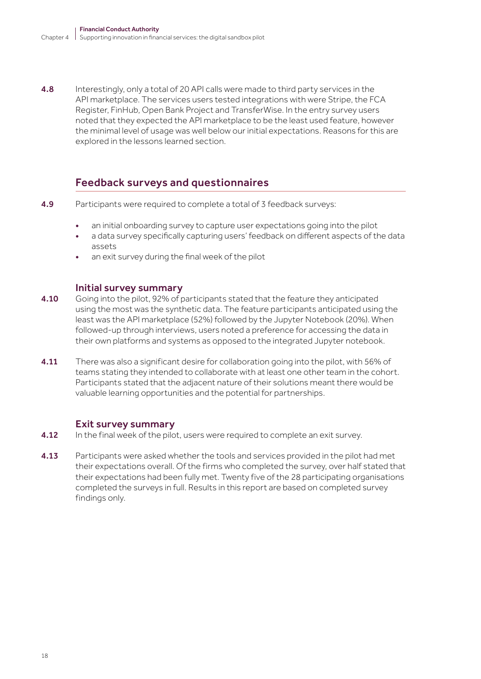4.8 Interestingly, only a total of 20 API calls were made to third party services in the API marketplace. The services users tested integrations with were Stripe, the FCA Register, FinHub, Open Bank Project and TransferWise. In the entry survey users noted that they expected the API marketplace to be the least used feature, however the minimal level of usage was well below our initial expectations. Reasons for this are explored in the lessons learned section.

### Feedback surveys and questionnaires

- **4.9** Participants were required to complete a total of 3 feedback surveys:
	- an initial onboarding survey to capture user expectations going into the pilot
	- a data survey specifically capturing users' feedback on different aspects of the data assets
	- an exit survey during the final week of the pilot

#### Initial survey summary

- 4.10 Going into the pilot, 92% of participants stated that the feature they anticipated using the most was the synthetic data. The feature participants anticipated using the least was the API marketplace (52%) followed by the Jupyter Notebook (20%). When followed-up through interviews, users noted a preference for accessing the data in their own platforms and systems as opposed to the integrated Jupyter notebook.
- 4.11 There was also a significant desire for collaboration going into the pilot, with 56% of teams stating they intended to collaborate with at least one other team in the cohort. Participants stated that the adjacent nature of their solutions meant there would be valuable learning opportunities and the potential for partnerships.

#### Exit survey summary

- **4.12** In the final week of the pilot, users were required to complete an exit survey.
- 4.13 Participants were asked whether the tools and services provided in the pilot had met their expectations overall. Of the firms who completed the survey, over half stated that their expectations had been fully met. Twenty five of the 28 participating organisations completed the surveys in full. Results in this report are based on completed survey findings only.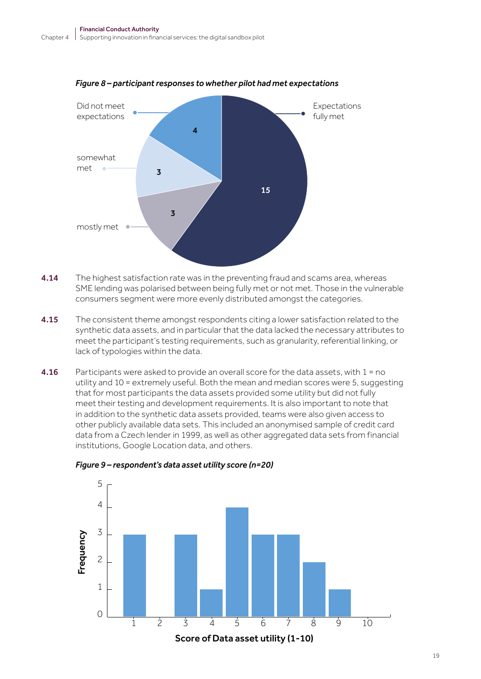

*Figure 8 – participant responses to whether pilot had met expectations* 

- 4.14 The highest satisfaction rate was in the preventing fraud and scams area, whereas SME lending was polarised between being fully met or not met. Those in the vulnerable consumers segment were more evenly distributed amongst the categories.
- **4.15** The consistent theme amongst respondents citing a lower satisfaction related to the synthetic data assets, and in particular that the data lacked the necessary attributes to meet the participant's testing requirements, such as granularity, referential linking, or lack of typologies within the data.
- 4.16 Participants were asked to provide an overall score for the data assets, with  $1 = no$ utility and 10 = extremely useful. Both the mean and median scores were 5, suggesting that for most participants the data assets provided some utility but did not fully meet their testing and development requirements. It is also important to note that in addition to the synthetic data assets provided, teams were also given access to other publicly available data sets. This included an anonymised sample of credit card data from a Czech lender in 1999, as well as other aggregated data sets from financial institutions, Google Location data, and others.



#### *Figure 9 – respondent's data asset utility score (n=20)*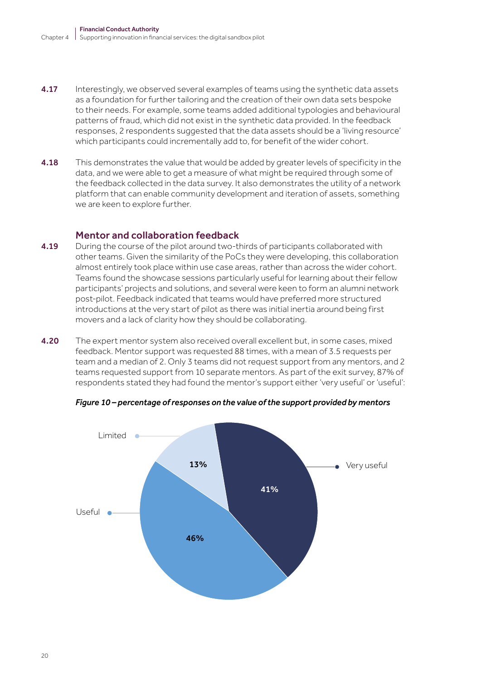- **4.17** Interestingly, we observed several examples of teams using the synthetic data assets as a foundation for further tailoring and the creation of their own data sets bespoke to their needs. For example, some teams added additional typologies and behavioural patterns of fraud, which did not exist in the synthetic data provided. In the feedback responses, 2 respondents suggested that the data assets should be a 'living resource' which participants could incrementally add to, for benefit of the wider cohort.
- 4.18 This demonstrates the value that would be added by greater levels of specificity in the data, and we were able to get a measure of what might be required through some of the feedback collected in the data survey. It also demonstrates the utility of a network platform that can enable community development and iteration of assets, something we are keen to explore further.

#### Mentor and collaboration feedback

- 4.19 During the course of the pilot around two-thirds of participants collaborated with other teams. Given the similarity of the PoCs they were developing, this collaboration almost entirely took place within use case areas, rather than across the wider cohort. Teams found the showcase sessions particularly useful for learning about their fellow participants' projects and solutions, and several were keen to form an alumni network post-pilot. Feedback indicated that teams would have preferred more structured introductions at the very start of pilot as there was initial inertia around being first movers and a lack of clarity how they should be collaborating.
- 4.20 The expert mentor system also received overall excellent but, in some cases, mixed feedback. Mentor support was requested 88 times, with a mean of 3.5 requests per team and a median of 2. Only 3 teams did not request support from any mentors, and 2 teams requested support from 10 separate mentors. As part of the exit survey, 87% of respondents stated they had found the mentor's support either 'very useful' or 'useful':



*Figure 10 – percentage of responses on the value of the support provided by mentors*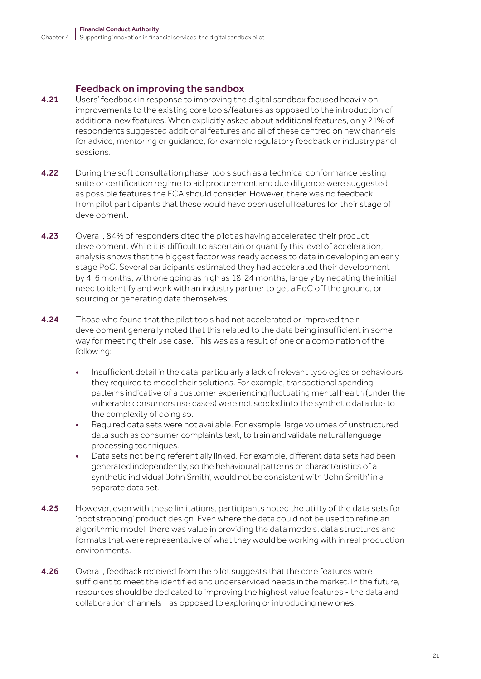#### Feedback on improving the sandbox

- 4.21 Users' feedback in response to improving the digital sandbox focused heavily on improvements to the existing core tools/features as opposed to the introduction of additional new features. When explicitly asked about additional features, only 21% of respondents suggested additional features and all of these centred on new channels for advice, mentoring or guidance, for example regulatory feedback or industry panel sessions.
- 4.22 During the soft consultation phase, tools such as a technical conformance testing suite or certification regime to aid procurement and due diligence were suggested as possible features the FCA should consider. However, there was no feedback from pilot participants that these would have been useful features for their stage of development.
- **4.23** Overall, 84% of responders cited the pilot as having accelerated their product development. While it is difficult to ascertain or quantify this level of acceleration, analysis shows that the biggest factor was ready access to data in developing an early stage PoC. Several participants estimated they had accelerated their development by 4-6 months, with one going as high as 18-24 months, largely by negating the initial need to identify and work with an industry partner to get a PoC off the ground, or sourcing or generating data themselves.
- 4.24 Those who found that the pilot tools had not accelerated or improved their development generally noted that this related to the data being insufficient in some way for meeting their use case. This was as a result of one or a combination of the following:
	- Insufficient detail in the data, particularly a lack of relevant typologies or behaviours they required to model their solutions. For example, transactional spending patterns indicative of a customer experiencing fluctuating mental health (under the vulnerable consumers use cases) were not seeded into the synthetic data due to the complexity of doing so.
	- Required data sets were not available. For example, large volumes of unstructured data such as consumer complaints text, to train and validate natural language processing techniques.
	- Data sets not being referentially linked. For example, different data sets had been generated independently, so the behavioural patterns or characteristics of a synthetic individual 'John Smith', would not be consistent with 'John Smith' in a separate data set.
- 4.25 However, even with these limitations, participants noted the utility of the data sets for 'bootstrapping' product design. Even where the data could not be used to refine an algorithmic model, there was value in providing the data models, data structures and formats that were representative of what they would be working with in real production environments.
- 4.26 Overall, feedback received from the pilot suggests that the core features were sufficient to meet the identified and underserviced needs in the market. In the future, resources should be dedicated to improving the highest value features - the data and collaboration channels - as opposed to exploring or introducing new ones.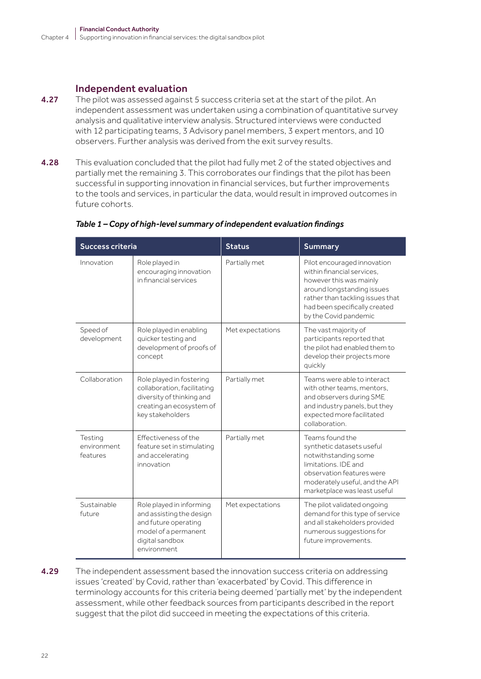#### Independent evaluation

- **4.27** The pilot was assessed against 5 success criteria set at the start of the pilot. An independent assessment was undertaken using a combination of quantitative survey analysis and qualitative interview analysis. Structured interviews were conducted with 12 participating teams, 3 Advisory panel members, 3 expert mentors, and 10 observers. Further analysis was derived from the exit survey results.
- **4.28** This evaluation concluded that the pilot had fully met 2 of the stated objectives and partially met the remaining 3. This corroborates our findings that the pilot has been successful in supporting innovation in financial services, but further improvements to the tools and services, in particular the data, would result in improved outcomes in future cohorts.

| Success criteria                   |                                                                                                                                        | <b>Status</b>    | <b>Summary</b>                                                                                                                                                                                                   |
|------------------------------------|----------------------------------------------------------------------------------------------------------------------------------------|------------------|------------------------------------------------------------------------------------------------------------------------------------------------------------------------------------------------------------------|
| Innovation                         | Role played in<br>encouraging innovation<br>in financial services                                                                      | Partially met    | Pilot encouraged innovation<br>within financial services,<br>however this was mainly<br>around longstanding issues<br>rather than tackling issues that<br>had been specifically created<br>by the Covid pandemic |
| Speed of<br>development            | Role played in enabling<br>quicker testing and<br>development of proofs of<br>concept                                                  | Met expectations | The vast majority of<br>participants reported that<br>the pilot had enabled them to<br>develop their projects more<br>quickly                                                                                    |
| Collaboration                      | Role played in fostering<br>collaboration, facilitating<br>diversity of thinking and<br>creating an ecosystem of<br>key stakeholders   | Partially met    | Teams were able to interact<br>with other teams, mentors,<br>and observers during SME<br>and industry panels, but they<br>expected more facilitated<br>collaboration.                                            |
| Testing<br>environment<br>features | Effectiveness of the<br>feature set in stimulating<br>and accelerating<br>innovation                                                   | Partially met    | Teams found the<br>synthetic datasets useful<br>notwithstanding some<br>limitations. IDE and<br>observation features were<br>moderately useful, and the API<br>marketplace was least useful                      |
| Sustainable<br>future              | Role played in informing<br>and assisting the design<br>and future operating<br>model of a permanent<br>digital sandbox<br>environment | Met expectations | The pilot validated ongoing<br>demand for this type of service<br>and all stakeholders provided<br>numerous suggestions for<br>future improvements.                                                              |

#### *Table 1 – Copy of high-level summary of independent evaluation findings*

4.29 The independent assessment based the innovation success criteria on addressing issues 'created' by Covid, rather than 'exacerbated' by Covid. This difference in terminology accounts for this criteria being deemed 'partially met' by the independent assessment, while other feedback sources from participants described in the report suggest that the pilot did succeed in meeting the expectations of this criteria.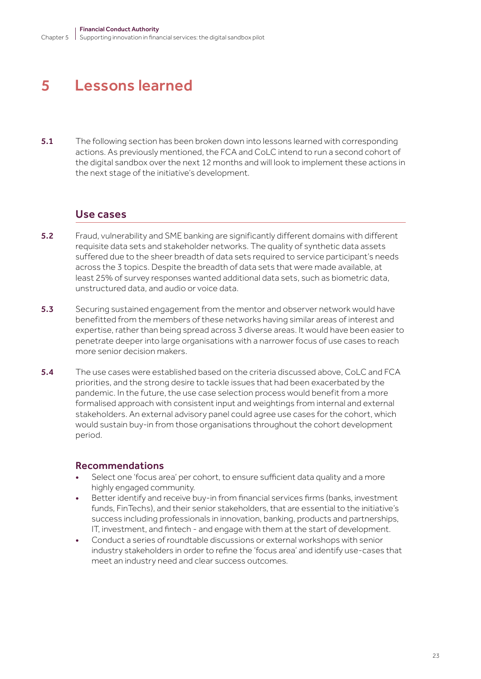## 5 Lessons learned

5.1 The following section has been broken down into lessons learned with corresponding actions. As previously mentioned, the FCA and CoLC intend to run a second cohort of the digital sandbox over the next 12 months and will look to implement these actions in the next stage of the initiative's development.

#### Use cases

- 5.2 Fraud, vulnerability and SME banking are significantly different domains with different requisite data sets and stakeholder networks. The quality of synthetic data assets suffered due to the sheer breadth of data sets required to service participant's needs across the 3 topics. Despite the breadth of data sets that were made available, at least 25% of survey responses wanted additional data sets, such as biometric data, unstructured data, and audio or voice data.
- 5.3 Securing sustained engagement from the mentor and observer network would have benefitted from the members of these networks having similar areas of interest and expertise, rather than being spread across 3 diverse areas. It would have been easier to penetrate deeper into large organisations with a narrower focus of use cases to reach more senior decision makers.
- 5.4 The use cases were established based on the criteria discussed above, CoLC and FCA priorities, and the strong desire to tackle issues that had been exacerbated by the pandemic. In the future, the use case selection process would benefit from a more formalised approach with consistent input and weightings from internal and external stakeholders. An external advisory panel could agree use cases for the cohort, which would sustain buy-in from those organisations throughout the cohort development period.

#### Recommendations

- Select one 'focus area' per cohort, to ensure sufficient data quality and a more highly engaged community.
- Better identify and receive buy-in from financial services firms (banks, investment funds, FinTechs), and their senior stakeholders, that are essential to the initiative's success including professionals in innovation, banking, products and partnerships, IT, investment, and fintech - and engage with them at the start of development.
- Conduct a series of roundtable discussions or external workshops with senior industry stakeholders in order to refine the 'focus area' and identify use-cases that meet an industry need and clear success outcomes.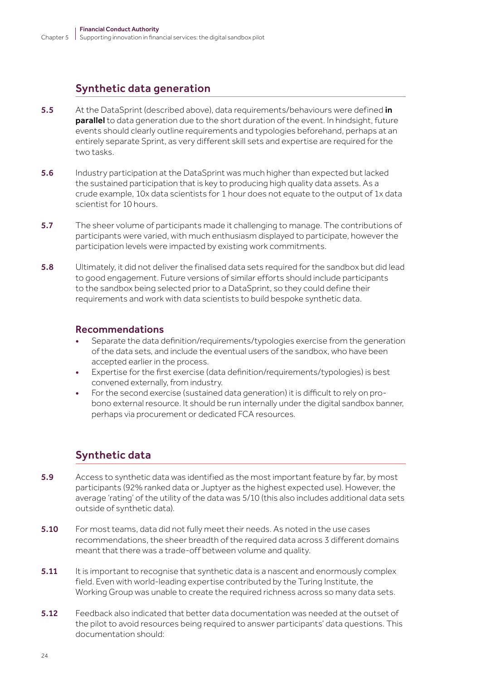## Synthetic data generation

- 5.5 At the DataSprint (described above), data requirements/behaviours were defined in parallel to data generation due to the short duration of the event. In hindsight, future events should clearly outline requirements and typologies beforehand, perhaps at an entirely separate Sprint, as very different skill sets and expertise are required for the two tasks.
- 5.6 Industry participation at the DataSprint was much higher than expected but lacked the sustained participation that is key to producing high quality data assets. As a crude example, 10x data scientists for 1 hour does not equate to the output of 1x data scientist for 10 hours.
- 5.7 The sheer volume of participants made it challenging to manage. The contributions of participants were varied, with much enthusiasm displayed to participate, however the participation levels were impacted by existing work commitments.
- 5.8 Ultimately, it did not deliver the finalised data sets required for the sandbox but did lead to good engagement. Future versions of similar efforts should include participants to the sandbox being selected prior to a DataSprint, so they could define their requirements and work with data scientists to build bespoke synthetic data.

#### Recommendations

- Separate the data definition/requirements/typologies exercise from the generation of the data sets, and include the eventual users of the sandbox, who have been accepted earlier in the process.
- Expertise for the first exercise (data definition/requirements/typologies) is best convened externally, from industry.
- For the second exercise (sustained data generation) it is difficult to rely on probono external resource. It should be run internally under the digital sandbox banner, perhaps via procurement or dedicated FCA resources.

## Synthetic data

- 5.9 Access to synthetic data was identified as the most important feature by far, by most participants (92% ranked data or Juptyer as the highest expected use). However, the average 'rating' of the utility of the data was 5/10 (this also includes additional data sets outside of synthetic data).
- 5.10 For most teams, data did not fully meet their needs. As noted in the use cases recommendations, the sheer breadth of the required data across 3 different domains meant that there was a trade-off between volume and quality.
- 5.11 It is important to recognise that synthetic data is a nascent and enormously complex field. Even with world-leading expertise contributed by the Turing Institute, the Working Group was unable to create the required richness across so many data sets.
- **5.12** Feedback also indicated that better data documentation was needed at the outset of the pilot to avoid resources being required to answer participants' data questions. This documentation should: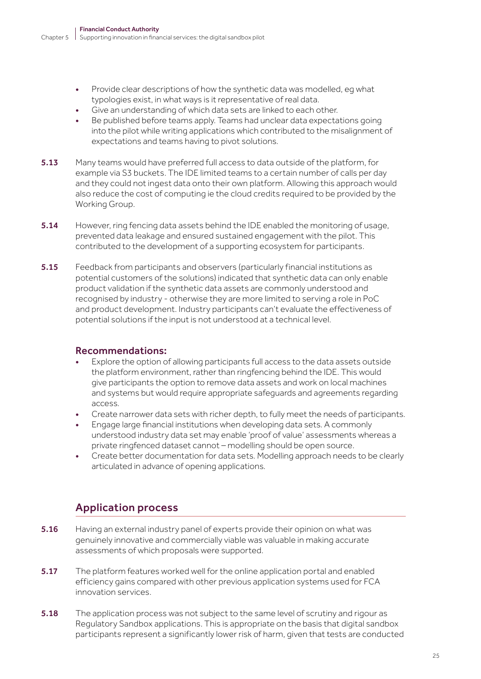- Provide clear descriptions of how the synthetic data was modelled, eg what typologies exist, in what ways is it representative of real data.
- Give an understanding of which data sets are linked to each other.
- Be published before teams apply. Teams had unclear data expectations going into the pilot while writing applications which contributed to the misalignment of expectations and teams having to pivot solutions.
- **5.13** Many teams would have preferred full access to data outside of the platform, for example via S3 buckets. The IDE limited teams to a certain number of calls per day and they could not ingest data onto their own platform. Allowing this approach would also reduce the cost of computing ie the cloud credits required to be provided by the Working Group.
- **5.14** However, ring fencing data assets behind the IDE enabled the monitoring of usage, prevented data leakage and ensured sustained engagement with the pilot. This contributed to the development of a supporting ecosystem for participants.
- **5.15** Feedback from participants and observers (particularly financial institutions as potential customers of the solutions) indicated that synthetic data can only enable product validation if the synthetic data assets are commonly understood and recognised by industry - otherwise they are more limited to serving a role in PoC and product development. Industry participants can't evaluate the effectiveness of potential solutions if the input is not understood at a technical level.

#### Recommendations:

- Explore the option of allowing participants full access to the data assets outside the platform environment, rather than ringfencing behind the IDE. This would give participants the option to remove data assets and work on local machines and systems but would require appropriate safeguards and agreements regarding access.
- Create narrower data sets with richer depth, to fully meet the needs of participants.
- Engage large financial institutions when developing data sets. A commonly understood industry data set may enable 'proof of value' assessments whereas a private ringfenced dataset cannot – modelling should be open source.
- Create better documentation for data sets. Modelling approach needs to be clearly articulated in advance of opening applications.

### Application process

- 5.16 Having an external industry panel of experts provide their opinion on what was genuinely innovative and commercially viable was valuable in making accurate assessments of which proposals were supported.
- 5.17 The platform features worked well for the online application portal and enabled efficiency gains compared with other previous application systems used for FCA innovation services.
- 5.18 The application process was not subject to the same level of scrutiny and rigour as Regulatory Sandbox applications. This is appropriate on the basis that digital sandbox participants represent a significantly lower risk of harm, given that tests are conducted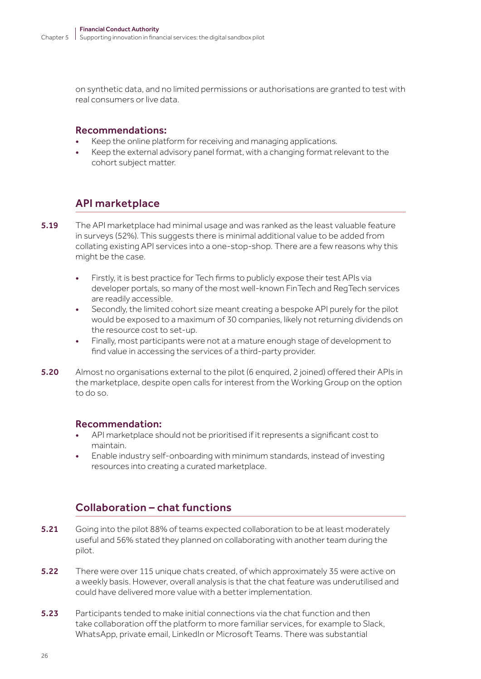on synthetic data, and no limited permissions or authorisations are granted to test with real consumers or live data.

#### Recommendations:

- Keep the online platform for receiving and managing applications.
- Keep the external advisory panel format, with a changing format relevant to the cohort subject matter.

### API marketplace

- 5.19 The API marketplace had minimal usage and was ranked as the least valuable feature in surveys (52%). This suggests there is minimal additional value to be added from collating existing API services into a one-stop-shop. There are a few reasons why this might be the case.
	- Firstly, it is best practice for Tech firms to publicly expose their test APIs via developer portals, so many of the most well-known FinTech and RegTech services are readily accessible.
	- Secondly, the limited cohort size meant creating a bespoke API purely for the pilot would be exposed to a maximum of 30 companies, likely not returning dividends on the resource cost to set-up.
	- Finally, most participants were not at a mature enough stage of development to find value in accessing the services of a third-party provider.
- 5.20 Almost no organisations external to the pilot (6 enquired, 2 joined) offered their APIs in the marketplace, despite open calls for interest from the Working Group on the option to do so.

#### Recommendation:

- API marketplace should not be prioritised if it represents a significant cost to maintain.
- Enable industry self-onboarding with minimum standards, instead of investing resources into creating a curated marketplace.

## Collaboration – chat functions

- 5.21 Going into the pilot 88% of teams expected collaboration to be at least moderately useful and 56% stated they planned on collaborating with another team during the pilot.
- **5.22** There were over 115 unique chats created, of which approximately 35 were active on a weekly basis. However, overall analysis is that the chat feature was underutilised and could have delivered more value with a better implementation.
- 5.23 Participants tended to make initial connections via the chat function and then take collaboration off the platform to more familiar services, for example to Slack, WhatsApp, private email, LinkedIn or Microsoft Teams. There was substantial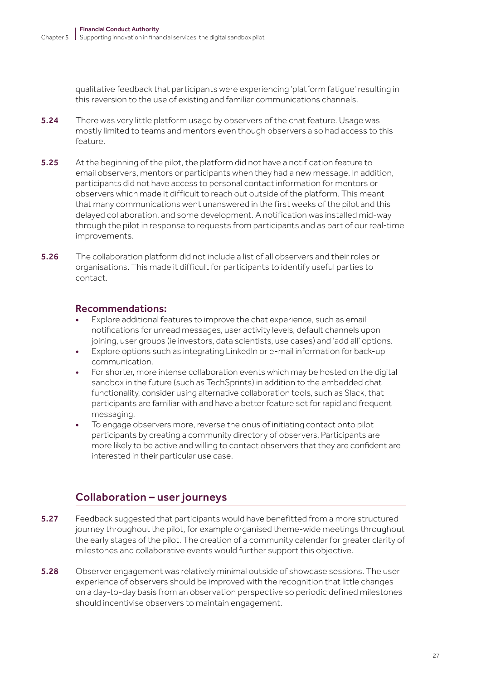qualitative feedback that participants were experiencing 'platform fatigue' resulting in this reversion to the use of existing and familiar communications channels.

- **5.24** There was very little platform usage by observers of the chat feature. Usage was mostly limited to teams and mentors even though observers also had access to this feature.
- **5.25** At the beginning of the pilot, the platform did not have a notification feature to email observers, mentors or participants when they had a new message. In addition, participants did not have access to personal contact information for mentors or observers which made it difficult to reach out outside of the platform. This meant that many communications went unanswered in the first weeks of the pilot and this delayed collaboration, and some development. A notification was installed mid-way through the pilot in response to requests from participants and as part of our real-time improvements.
- 5.26 The collaboration platform did not include a list of all observers and their roles or organisations. This made it difficult for participants to identify useful parties to contact.

#### Recommendations:

- Explore additional features to improve the chat experience, such as email notifications for unread messages, user activity levels, default channels upon joining, user groups (ie investors, data scientists, use cases) and 'add all' options.
- Explore options such as integrating LinkedIn or e-mail information for back-up communication.
- For shorter, more intense collaboration events which may be hosted on the digital sandbox in the future (such as TechSprints) in addition to the embedded chat functionality, consider using alternative collaboration tools, such as Slack, that participants are familiar with and have a better feature set for rapid and frequent messaging.
- To engage observers more, reverse the onus of initiating contact onto pilot participants by creating a community directory of observers. Participants are more likely to be active and willing to contact observers that they are confident are interested in their particular use case.

## Collaboration – user journeys

- 5.27 Feedback suggested that participants would have benefitted from a more structured journey throughout the pilot, for example organised theme-wide meetings throughout the early stages of the pilot. The creation of a community calendar for greater clarity of milestones and collaborative events would further support this objective.
- 5.28 Observer engagement was relatively minimal outside of showcase sessions. The user experience of observers should be improved with the recognition that little changes on a day-to-day basis from an observation perspective so periodic defined milestones should incentivise observers to maintain engagement.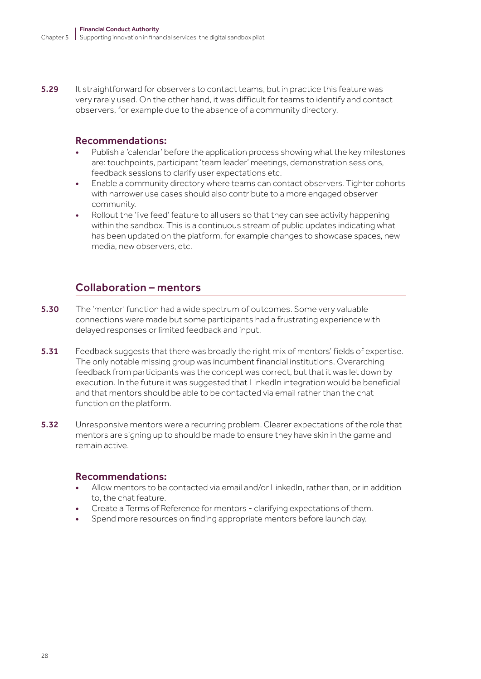**5.29** It straightforward for observers to contact teams, but in practice this feature was very rarely used. On the other hand, it was difficult for teams to identify and contact observers, for example due to the absence of a community directory.

#### Recommendations:

- Publish a 'calendar' before the application process showing what the key milestones are: touchpoints, participant 'team leader' meetings, demonstration sessions, feedback sessions to clarify user expectations etc.
- Enable a community directory where teams can contact observers. Tighter cohorts with narrower use cases should also contribute to a more engaged observer community.
- Rollout the 'live feed' feature to all users so that they can see activity happening within the sandbox. This is a continuous stream of public updates indicating what has been updated on the platform, for example changes to showcase spaces, new media, new observers, etc.

### Collaboration – mentors

- 5.30 The 'mentor' function had a wide spectrum of outcomes. Some very valuable connections were made but some participants had a frustrating experience with delayed responses or limited feedback and input.
- 5.31 Feedback suggests that there was broadly the right mix of mentors' fields of expertise. The only notable missing group was incumbent financial institutions. Overarching feedback from participants was the concept was correct, but that it was let down by execution. In the future it was suggested that LinkedIn integration would be beneficial and that mentors should be able to be contacted via email rather than the chat function on the platform.
- 5.32 Unresponsive mentors were a recurring problem. Clearer expectations of the role that mentors are signing up to should be made to ensure they have skin in the game and remain active.

#### Recommendations:

- Allow mentors to be contacted via email and/or LinkedIn, rather than, or in addition to, the chat feature.
- Create a Terms of Reference for mentors clarifying expectations of them.
- Spend more resources on finding appropriate mentors before launch day.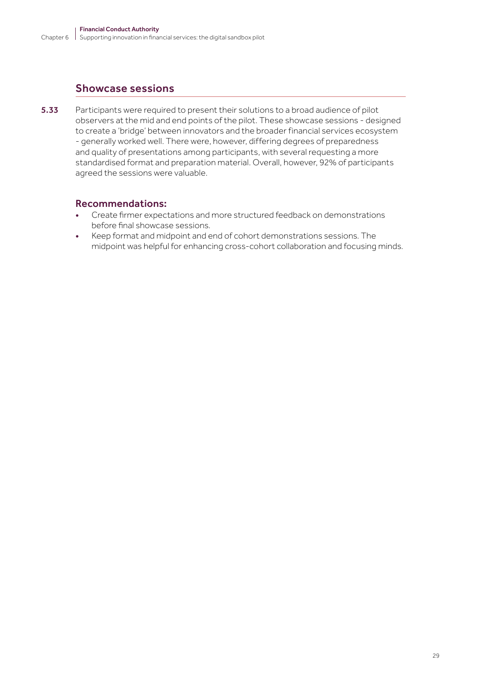### Showcase sessions

5.33 Participants were required to present their solutions to a broad audience of pilot observers at the mid and end points of the pilot. These showcase sessions - designed to create a 'bridge' between innovators and the broader financial services ecosystem - generally worked well. There were, however, differing degrees of preparedness and quality of presentations among participants, with several requesting a more standardised format and preparation material. Overall, however, 92% of participants agreed the sessions were valuable.

#### Recommendations:

- Create firmer expectations and more structured feedback on demonstrations before final showcase sessions.
- Keep format and midpoint and end of cohort demonstrations sessions. The midpoint was helpful for enhancing cross-cohort collaboration and focusing minds.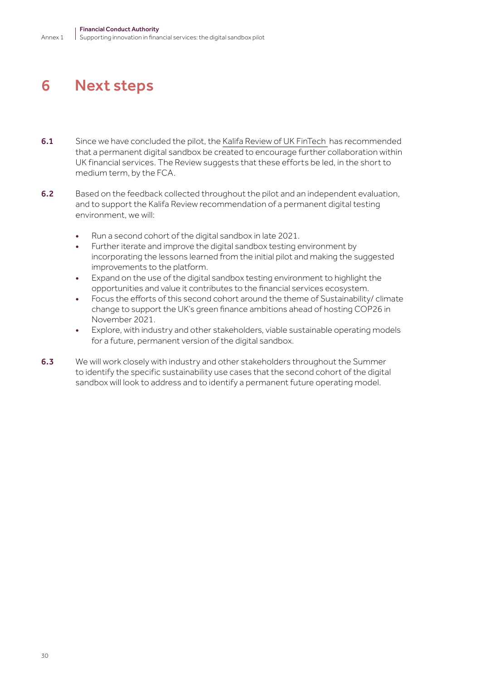## 6 Next steps

- 6.1 Since we have concluded the pilot, the Kalifa Review of UK FinTech has recommended that a permanent digital sandbox be created to encourage further collaboration within UK financial services. The Review suggests that these efforts be led, in the short to medium term, by the FCA.
- 6.2 Based on the feedback collected throughout the pilot and an independent evaluation, and to support the Kalifa Review recommendation of a permanent digital testing environment, we will:
	- Run a second cohort of the digital sandbox in late 2021.
	- Further iterate and improve the digital sandbox testing environment by incorporating the lessons learned from the initial pilot and making the suggested improvements to the platform.
	- Expand on the use of the digital sandbox testing environment to highlight the opportunities and value it contributes to the financial services ecosystem.
	- Focus the efforts of this second cohort around the theme of Sustainability/ climate change to support the UK's green finance ambitions ahead of hosting COP26 in November 2021.
	- Explore, with industry and other stakeholders, viable sustainable operating models for a future, permanent version of the digital sandbox.
- 6.3 We will work closely with industry and other stakeholders throughout the Summer to identify the specific sustainability use cases that the second cohort of the digital sandbox will look to address and to identify a permanent future operating model.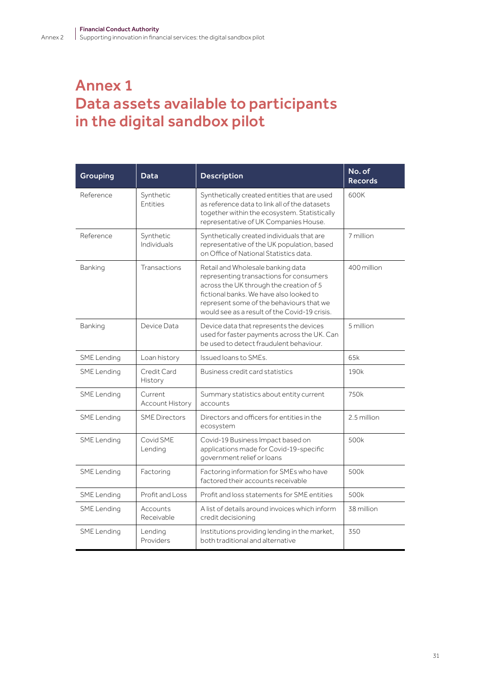## Annex 1 Data assets available to participants in the digital sandbox pilot

| <b>Grouping</b>    | Data                       | <b>Description</b>                                                                                                                                                                                                                                              | No. of<br><b>Records</b> |
|--------------------|----------------------------|-----------------------------------------------------------------------------------------------------------------------------------------------------------------------------------------------------------------------------------------------------------------|--------------------------|
| Reference          | Synthetic<br>Entities      | Synthetically created entities that are used<br>as reference data to link all of the datasets<br>together within the ecosystem. Statistically<br>representative of UK Companies House.                                                                          | 600K                     |
| Reference          | Synthetic<br>Individuals   | Synthetically created individuals that are<br>representative of the UK population, based<br>on Office of National Statistics data.                                                                                                                              | 7 million                |
| Banking            | Transactions               | Retail and Wholesale banking data<br>representing transactions for consumers<br>across the UK through the creation of 5<br>fictional banks. We have also looked to<br>represent some of the behaviours that we<br>would see as a result of the Covid-19 crisis. | 400 million              |
| Banking            | Device Data                | Device data that represents the devices<br>used for faster payments across the UK. Can<br>be used to detect fraudulent behaviour.                                                                                                                               | 5 million                |
| <b>SME</b> Lending | Loan history               | Issued Ioans to SMEs.                                                                                                                                                                                                                                           | 65k                      |
| SME Lending        | Credit Card<br>History     | Business credit card statistics                                                                                                                                                                                                                                 | 190k                     |
| SME Lending        | Current<br>Account History | Summary statistics about entity current<br>accounts                                                                                                                                                                                                             | 750k                     |
| SME Lending        | <b>SME</b> Directors       | Directors and officers for entities in the<br>ecosystem                                                                                                                                                                                                         | 2.5 million              |
| SME Lending        | Covid SME<br>Lending       | Covid-19 Business Impact based on<br>applications made for Covid-19-specific<br>government relief or loans                                                                                                                                                      | 500k                     |
| SME Lending        | Factoring                  | Factoring information for SMEs who have<br>factored their accounts receivable                                                                                                                                                                                   | 500k                     |
| SME Lending        | Profit and Loss            | Profit and loss statements for SME entities                                                                                                                                                                                                                     | 500k                     |
| SME Lending        | Accounts<br>Receivable     | A list of details around invoices which inform<br>credit decisioning                                                                                                                                                                                            | 38 million               |
| SME Lending        | Lending<br>Providers       | Institutions providing lending in the market,<br>both traditional and alternative                                                                                                                                                                               | 350                      |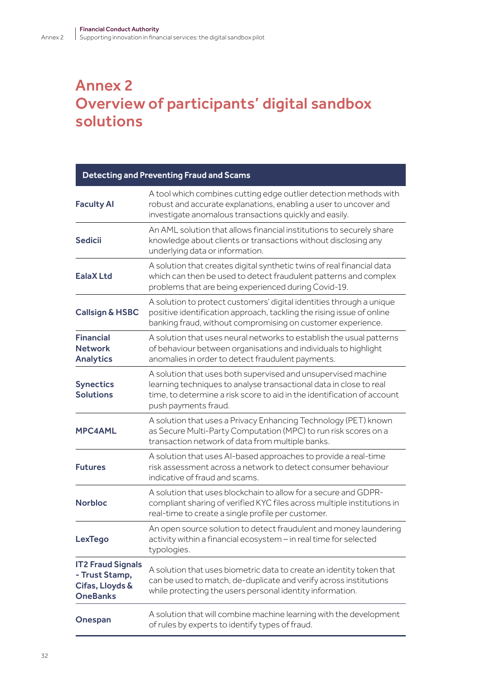## Annex 2 Overview of participants' digital sandbox solutions

| <b>Detecting and Preventing Fraud and Scams</b>                                  |                                                                                                                                                                                                                                        |  |
|----------------------------------------------------------------------------------|----------------------------------------------------------------------------------------------------------------------------------------------------------------------------------------------------------------------------------------|--|
| <b>Faculty AI</b>                                                                | A tool which combines cutting edge outlier detection methods with<br>robust and accurate explanations, enabling a user to uncover and<br>investigate anomalous transactions quickly and easily.                                        |  |
| <b>Sedicii</b>                                                                   | An AML solution that allows financial institutions to securely share<br>knowledge about clients or transactions without disclosing any<br>underlying data or information.                                                              |  |
| <b>EalaX Ltd</b>                                                                 | A solution that creates digital synthetic twins of real financial data<br>which can then be used to detect fraudulent patterns and complex<br>problems that are being experienced during Covid-19.                                     |  |
| <b>Callsign &amp; HSBC</b>                                                       | A solution to protect customers' digital identities through a unique<br>positive identification approach, tackling the rising issue of online<br>banking fraud, without compromising on customer experience.                           |  |
| <b>Financial</b><br><b>Network</b><br><b>Analytics</b>                           | A solution that uses neural networks to establish the usual patterns<br>of behaviour between organisations and individuals to highlight<br>anomalies in order to detect fraudulent payments.                                           |  |
| <b>Synectics</b><br><b>Solutions</b>                                             | A solution that uses both supervised and unsupervised machine<br>learning techniques to analyse transactional data in close to real<br>time, to determine a risk score to aid in the identification of account<br>push payments fraud. |  |
| <b>MPC4AML</b>                                                                   | A solution that uses a Privacy Enhancing Technology (PET) known<br>as Secure Multi-Party Computation (MPC) to run risk scores on a<br>transaction network of data from multiple banks.                                                 |  |
| <b>Futures</b>                                                                   | A solution that uses AI-based approaches to provide a real-time<br>risk assessment across a network to detect consumer behaviour<br>indicative of fraud and scams.                                                                     |  |
| <b>Norbloc</b>                                                                   | A solution that uses blockchain to allow for a secure and GDPR-<br>compliant sharing of verified KYC files across multiple institutions in<br>real-time to create a single profile per customer.                                       |  |
| <b>LexTego</b>                                                                   | An open source solution to detect fraudulent and money laundering<br>activity within a financial ecosystem - in real time for selected<br>typologies.                                                                                  |  |
| <b>IT2 Fraud Signals</b><br>- Trust Stamp,<br>Cifas, Lloyds &<br><b>OneBanks</b> | A solution that uses biometric data to create an identity token that<br>can be used to match, de-duplicate and verify across institutions<br>while protecting the users personal identity information.                                 |  |
| Onespan                                                                          | A solution that will combine machine learning with the development<br>of rules by experts to identify types of fraud.                                                                                                                  |  |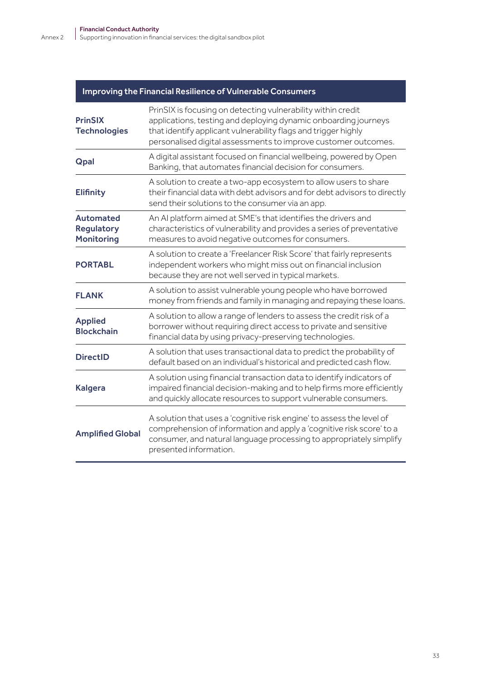## Improving the Financial Resilience of Vulnerable Consumers

| <b>PrinSIX</b><br><b>Technologies</b>               | PrinSIX is focusing on detecting vulnerability within credit<br>applications, testing and deploying dynamic onboarding journeys<br>that identify applicant vulnerability flags and trigger highly<br>personalised digital assessments to improve customer outcomes. |
|-----------------------------------------------------|---------------------------------------------------------------------------------------------------------------------------------------------------------------------------------------------------------------------------------------------------------------------|
| <b>Qpal</b>                                         | A digital assistant focused on financial wellbeing, powered by Open<br>Banking, that automates financial decision for consumers.                                                                                                                                    |
| <b>Elifinity</b>                                    | A solution to create a two-app ecosystem to allow users to share<br>their financial data with debt advisors and for debt advisors to directly<br>send their solutions to the consumer via an app.                                                                   |
| <b>Automated</b><br>Regulatory<br><b>Monitoring</b> | An AI platform aimed at SME's that identifies the drivers and<br>characteristics of vulnerability and provides a series of preventative<br>measures to avoid negative outcomes for consumers.                                                                       |
| <b>PORTABL</b>                                      | A solution to create a 'Freelancer Risk Score' that fairly represents<br>independent workers who might miss out on financial inclusion<br>because they are not well served in typical markets.                                                                      |
| <b>FLANK</b>                                        | A solution to assist vulnerable young people who have borrowed<br>money from friends and family in managing and repaying these loans.                                                                                                                               |
| <b>Applied</b><br><b>Blockchain</b>                 | A solution to allow a range of lenders to assess the credit risk of a<br>borrower without requiring direct access to private and sensitive<br>financial data by using privacy-preserving technologies.                                                              |
| <b>DirectID</b>                                     | A solution that uses transactional data to predict the probability of<br>default based on an individual's historical and predicted cash flow.                                                                                                                       |
| <b>Kalgera</b>                                      | A solution using financial transaction data to identify indicators of<br>impaired financial decision-making and to help firms more efficiently<br>and quickly allocate resources to support vulnerable consumers.                                                   |
| <b>Amplified Global</b>                             | A solution that uses a 'cognitive risk engine' to assess the level of<br>comprehension of information and apply a 'cognitive risk score' to a<br>consumer, and natural language processing to appropriately simplify<br>presented information.                      |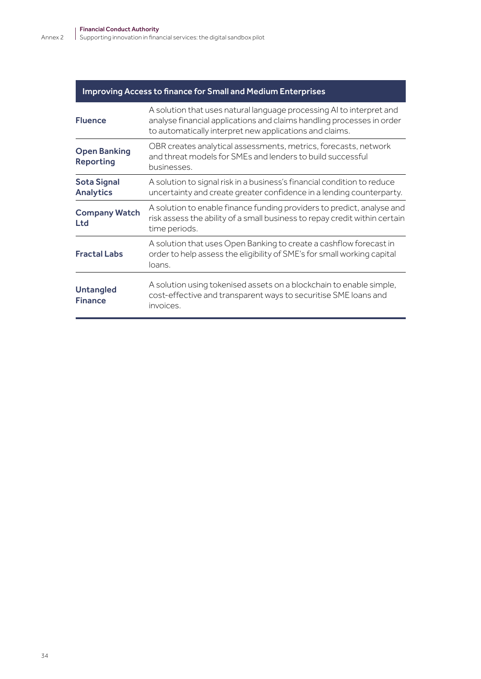| <b>Improving Access to finance for Small and Medium Enterprises</b> |                                                                                                                                                                                                          |  |  |
|---------------------------------------------------------------------|----------------------------------------------------------------------------------------------------------------------------------------------------------------------------------------------------------|--|--|
| <b>Fluence</b>                                                      | A solution that uses natural language processing AI to interpret and<br>analyse financial applications and claims handling processes in order<br>to automatically interpret new applications and claims. |  |  |
| <b>Open Banking</b><br>Reporting                                    | OBR creates analytical assessments, metrics, forecasts, network<br>and threat models for SMEs and lenders to build successful<br>businesses.                                                             |  |  |
| <b>Sota Signal</b><br><b>Analytics</b>                              | A solution to signal risk in a business's financial condition to reduce<br>uncertainty and create greater confidence in a lending counterparty.                                                          |  |  |
| <b>Company Watch</b><br>Ltd                                         | A solution to enable finance funding providers to predict, analyse and<br>risk assess the ability of a small business to repay credit within certain<br>time periods.                                    |  |  |
| <b>Fractal Labs</b>                                                 | A solution that uses Open Banking to create a cashflow forecast in<br>order to help assess the eligibility of SME's for small working capital<br>loans.                                                  |  |  |
| <b>Untangled</b><br><b>Finance</b>                                  | A solution using tokenised assets on a blockchain to enable simple,<br>cost-effective and transparent ways to securitise SME loans and<br>invoices.                                                      |  |  |